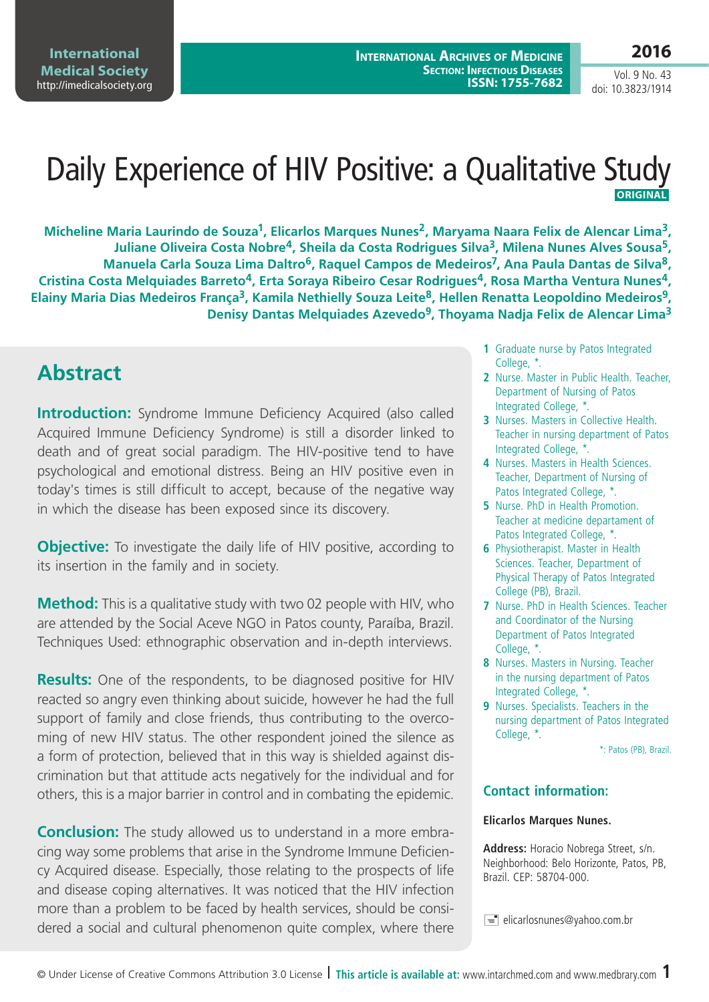**2016**

Vol. 9 No. 43 doi: 10.3823/1914

# Daily Experience of HIV Positive: a Qualitative Study  **Original**

**Micheline Maria Laurindo de Souza1, Elicarlos Marques Nunes2, Maryama Naara Felix de Alencar Lima3, Juliane Oliveira Costa Nobre4, Sheila da Costa Rodrigues Silva3, Milena Nunes Alves Sousa5, Manuela Carla Souza Lima Daltro6, Raquel Campos de Medeiros7, Ana Paula Dantas de Silva8, Cristina Costa Melquiades Barreto4, Erta Soraya Ribeiro Cesar Rodrigues4, Rosa Martha Ventura Nunes4,**  Elainy Maria Dias Medeiros França<sup>3</sup>, Kamila Nethielly Souza Leite<sup>8</sup>, Hellen Renatta Leopoldino Medeiros<sup>9</sup>, **Denisy Dantas Melquiades Azevedo9, Thoyama Nadja Felix de Alencar Lima3**

### **Abstract**

**Introduction:** Syndrome Immune Deficiency Acquired (also called Acquired Immune Deficiency Syndrome) is still a disorder linked to death and of great social paradigm. The HIV-positive tend to have psychological and emotional distress. Being an HIV positive even in today's times is still difficult to accept, because of the negative way in which the disease has been exposed since its discovery.

**Objective:** To investigate the daily life of HIV positive, according to its insertion in the family and in society.

**Method:** This is a qualitative study with two 02 people with HIV, who are attended by the Social Aceve NGO in Patos county, Paraíba, Brazil. Techniques Used: ethnographic observation and in-depth interviews.

**Results:** One of the respondents, to be diagnosed positive for HIV reacted so angry even thinking about suicide, however he had the full support of family and close friends, thus contributing to the overcoming of new HIV status. The other respondent joined the silence as a form of protection, believed that in this way is shielded against discrimination but that attitude acts negatively for the individual and for others, this is a major barrier in control and in combating the epidemic.

**Conclusion:** The study allowed us to understand in a more embracing way some problems that arise in the Syndrome Immune Deficiency Acquired disease. Especially, those relating to the prospects of life and disease coping alternatives. It was noticed that the HIV infection more than a problem to be faced by health services, should be considered a social and cultural phenomenon quite complex, where there

- **1** Graduate nurse by Patos Integrated College, \*.
- **2** Nurse. Master in Public Health. Teacher, Department of Nursing of Patos Integrated College, \*.
- **3** Nurses. Masters in Collective Health. Teacher in nursing department of Patos Integrated College, \*.
- **4** Nurses. Masters in Health Sciences. Teacher, Department of Nursing of Patos Integrated College, \*.
- **5** Nurse. PhD in Health Promotion. Teacher at medicine departament of Patos Integrated College, \*.
- **6** Physiotherapist. Master in Health Sciences. Teacher, Department of Physical Therapy of Patos Integrated College (PB), Brazil.
- **7** Nurse. PhD in Health Sciences. Teacher and Coordinator of the Nursing Department of Patos Integrated College, \*.
- **8** Nurses. Masters in Nursing. Teacher in the nursing department of Patos Integrated College, \*.
- **9** Nurses. Specialists. Teachers in the nursing department of Patos Integrated College, \*.

\*: Patos (PB), Brazil.

#### **Contact information:**

#### **Elicarlos Marques Nunes.**

**Address:** Horacio Nobrega Street, s/n. Neighborhood: Belo Horizonte, Patos, PB, Brazil. CEP: 58704-000.

 $\equiv$  elicarlosnunes@yahoo.com.br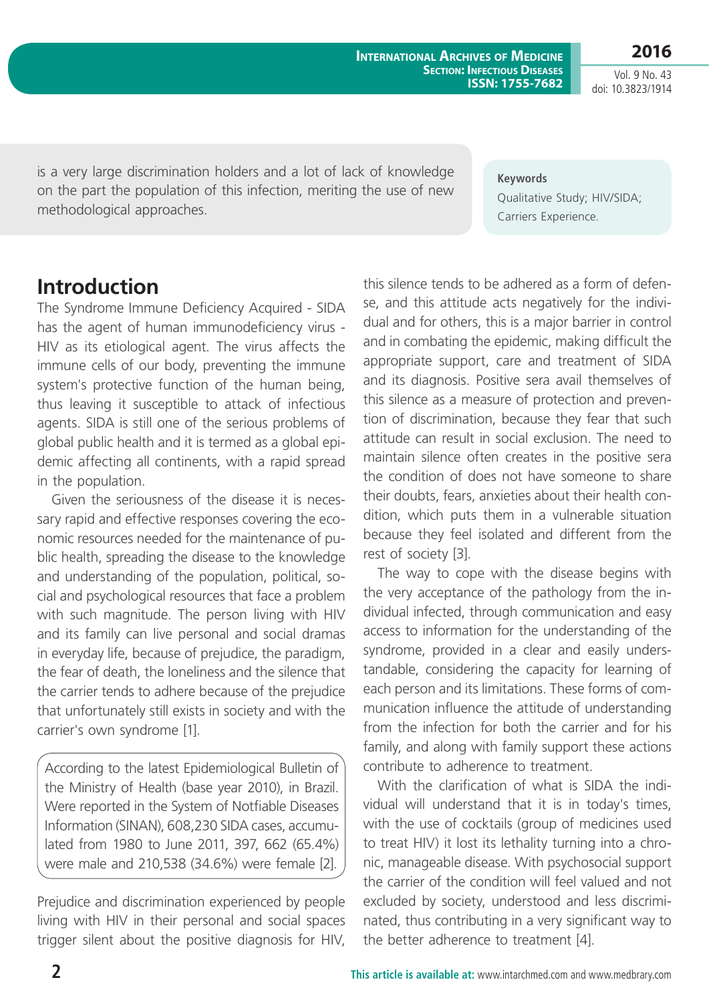Vol. 9 No. 43 doi: 10.3823/1914

**2016**

is a very large discrimination holders and a lot of lack of knowledge on the part the population of this infection, meriting the use of new methodological approaches.

**Keywords** Qualitative study; HIV/SIDA; Carriers Experience.

### **Introduction**

The Syndrome Immune Deficiency Acquired - SIDA has the agent of human immunodeficiency virus - HIV as its etiological agent. The virus affects the immune cells of our body, preventing the immune system's protective function of the human being, thus leaving it susceptible to attack of infectious agents. SIDA is still one of the serious problems of global public health and it is termed as a global epidemic affecting all continents, with a rapid spread in the population.

Given the seriousness of the disease it is necessary rapid and effective responses covering the economic resources needed for the maintenance of public health, spreading the disease to the knowledge and understanding of the population, political, social and psychological resources that face a problem with such magnitude. The person living with HIV and its family can live personal and social dramas in everyday life, because of prejudice, the paradigm, the fear of death, the loneliness and the silence that the carrier tends to adhere because of the prejudice that unfortunately still exists in society and with the carrier's own syndrome [1].

According to the latest Epidemiological Bulletin of the Ministry of Health (base year 2010), in Brazil. Were reported in the System of Notfiable Diseases Information (SINAN), 608,230 SIDA cases, accumulated from 1980 to June 2011, 397, 662 (65.4%) were male and 210,538 (34.6%) were female [2].

Prejudice and discrimination experienced by people living with HIV in their personal and social spaces trigger silent about the positive diagnosis for HIV, this silence tends to be adhered as a form of defense, and this attitude acts negatively for the individual and for others, this is a major barrier in control and in combating the epidemic, making difficult the appropriate support, care and treatment of SIDA and its diagnosis. Positive sera avail themselves of this silence as a measure of protection and prevention of discrimination, because they fear that such attitude can result in social exclusion. The need to maintain silence often creates in the positive sera the condition of does not have someone to share their doubts, fears, anxieties about their health condition, which puts them in a vulnerable situation because they feel isolated and different from the rest of society [3].

The way to cope with the disease begins with the very acceptance of the pathology from the individual infected, through communication and easy access to information for the understanding of the syndrome, provided in a clear and easily understandable, considering the capacity for learning of each person and its limitations. These forms of communication influence the attitude of understanding from the infection for both the carrier and for his family, and along with family support these actions contribute to adherence to treatment.

With the clarification of what is SIDA the individual will understand that it is in today's times, with the use of cocktails (group of medicines used to treat HIV) it lost its lethality turning into a chronic, manageable disease. With psychosocial support the carrier of the condition will feel valued and not excluded by society, understood and less discriminated, thus contributing in a very significant way to the better adherence to treatment [4].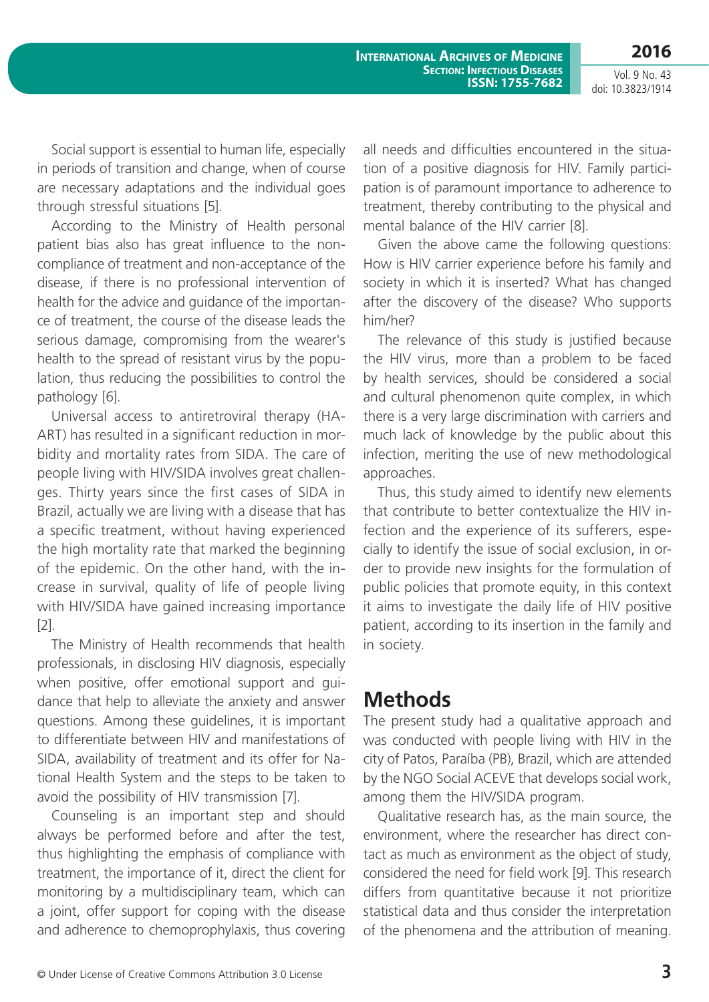**2016**

Social support is essential to human life, especially in periods of transition and change, when of course are necessary adaptations and the individual goes through stressful situations [5].

According to the Ministry of Health personal patient bias also has great influence to the noncompliance of treatment and non-acceptance of the disease, if there is no professional intervention of health for the advice and guidance of the importance of treatment, the course of the disease leads the serious damage, compromising from the wearer's health to the spread of resistant virus by the population, thus reducing the possibilities to control the pathology [6].

Universal access to antiretroviral therapy (HA-ART) has resulted in a significant reduction in morbidity and mortality rates from SIDA. The care of people living with HIV/SIDA involves great challenges. Thirty years since the first cases of SIDA in Brazil, actually we are living with a disease that has a specific treatment, without having experienced the high mortality rate that marked the beginning of the epidemic. On the other hand, with the increase in survival, quality of life of people living with HIV/SIDA have gained increasing importance [2].

The Ministry of Health recommends that health professionals, in disclosing HIV diagnosis, especially when positive, offer emotional support and guidance that help to alleviate the anxiety and answer questions. Among these guidelines, it is important to differentiate between HIV and manifestations of SIDA, availability of treatment and its offer for National Health System and the steps to be taken to avoid the possibility of HIV transmission [7].

Counseling is an important step and should always be performed before and after the test, thus highlighting the emphasis of compliance with treatment, the importance of it, direct the client for monitoring by a multidisciplinary team, which can a joint, offer support for coping with the disease and adherence to chemoprophylaxis, thus covering all needs and difficulties encountered in the situation of a positive diagnosis for HIV. Family participation is of paramount importance to adherence to treatment, thereby contributing to the physical and mental balance of the HIV carrier [8].

Given the above came the following questions: How is HIV carrier experience before his family and society in which it is inserted? What has changed after the discovery of the disease? Who supports him/her?

The relevance of this study is justified because the HIV virus, more than a problem to be faced by health services, should be considered a social and cultural phenomenon quite complex, in which there is a very large discrimination with carriers and much lack of knowledge by the public about this infection, meriting the use of new methodological approaches.

Thus, this study aimed to identify new elements that contribute to better contextualize the HIV infection and the experience of its sufferers, especially to identify the issue of social exclusion, in order to provide new insights for the formulation of public policies that promote equity, in this context it aims to investigate the daily life of HIV positive patient, according to its insertion in the family and in society.

## **Methods**

The present study had a qualitative approach and was conducted with people living with HIV in the city of Patos, Paraíba (PB), Brazil, which are attended by the NGO Social ACEVE that develops social work, among them the HIV/SIDA program.

Qualitative research has, as the main source, the environment, where the researcher has direct contact as much as environment as the object of study, considered the need for field work [9]. This research differs from quantitative because it not prioritize statistical data and thus consider the interpretation of the phenomena and the attribution of meaning.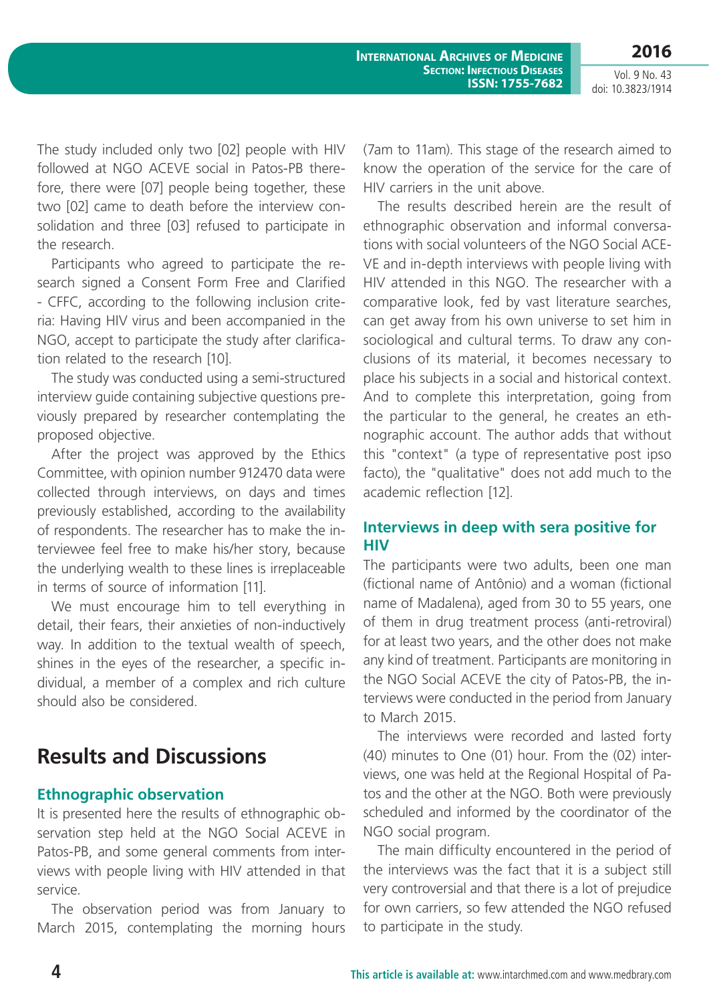The study included only two [02] people with HIV followed at NGO ACEVE social in Patos-PB therefore, there were [07] people being together, these two [02] came to death before the interview consolidation and three [03] refused to participate in the research.

Participants who agreed to participate the research signed a Consent Form Free and Clarified - CFFC, according to the following inclusion criteria: Having HIV virus and been accompanied in the NGO, accept to participate the study after clarification related to the research [10].

The study was conducted using a semi-structured interview guide containing subjective questions previously prepared by researcher contemplating the proposed objective.

After the project was approved by the Ethics Committee, with opinion number 912470 data were collected through interviews, on days and times previously established, according to the availability of respondents. The researcher has to make the interviewee feel free to make his/her story, because the underlying wealth to these lines is irreplaceable in terms of source of information [11].

We must encourage him to tell everything in detail, their fears, their anxieties of non-inductively way. In addition to the textual wealth of speech, shines in the eyes of the researcher, a specific individual, a member of a complex and rich culture should also be considered.

### **Results and Discussions**

#### **Ethnographic observation**

It is presented here the results of ethnographic observation step held at the NGO Social ACEVE in Patos-PB, and some general comments from interviews with people living with HIV attended in that service.

The observation period was from January to March 2015, contemplating the morning hours (7am to 11am). This stage of the research aimed to know the operation of the service for the care of HIV carriers in the unit above.

The results described herein are the result of ethnographic observation and informal conversations with social volunteers of the NGO Social ACE-VE and in-depth interviews with people living with HIV attended in this NGO. The researcher with a comparative look, fed by vast literature searches, can get away from his own universe to set him in sociological and cultural terms. To draw any conclusions of its material, it becomes necessary to place his subjects in a social and historical context. And to complete this interpretation, going from the particular to the general, he creates an ethnographic account. The author adds that without this "context" (a type of representative post ipso facto), the "qualitative" does not add much to the academic reflection [12].

#### **Interviews in deep with sera positive for HIV**

The participants were two adults, been one man (fictional name of Antônio) and a woman (fictional name of Madalena), aged from 30 to 55 years, one of them in drug treatment process (anti-retroviral) for at least two years, and the other does not make any kind of treatment. Participants are monitoring in the NGO Social ACEVE the city of Patos-PB, the interviews were conducted in the period from January to March 2015.

The interviews were recorded and lasted forty (40) minutes to One (01) hour. From the (02) interviews, one was held at the Regional Hospital of Patos and the other at the NGO. Both were previously scheduled and informed by the coordinator of the NGO social program.

The main difficulty encountered in the period of the interviews was the fact that it is a subject still very controversial and that there is a lot of prejudice for own carriers, so few attended the NGO refused to participate in the study.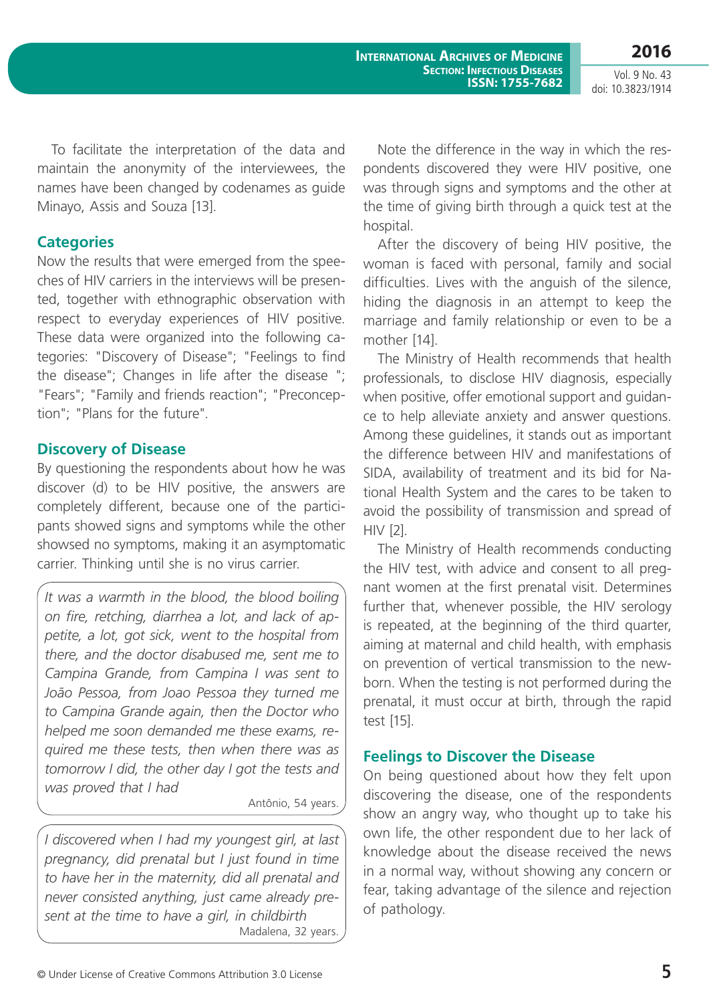Vol. 9 No. 43 doi: 10.3823/1914

**2016**

To facilitate the interpretation of the data and maintain the anonymity of the interviewees, the names have been changed by codenames as guide Minayo, Assis and Souza [13].

#### **Categories**

Now the results that were emerged from the speeches of HIV carriers in the interviews will be presented, together with ethnographic observation with respect to everyday experiences of HIV positive. These data were organized into the following categories: "Discovery of Disease"; "Feelings to find the disease"; Changes in life after the disease "; "Fears"; "Family and friends reaction"; "Preconception"; "Plans for the future".

#### **Discovery of Disease**

By questioning the respondents about how he was discover (d) to be HIV positive, the answers are completely different, because one of the participants showed signs and symptoms while the other showsed no symptoms, making it an asymptomatic carrier. Thinking until she is no virus carrier.

*It was a warmth in the blood, the blood boiling on fire, retching, diarrhea a lot, and lack of appetite, a lot, got sick, went to the hospital from there, and the doctor disabused me, sent me to Campina Grande, from Campina I was sent to João Pessoa, from Joao Pessoa they turned me to Campina Grande again, then the Doctor who helped me soon demanded me these exams, required me these tests, then when there was as tomorrow I did, the other day I got the tests and was proved that I had* 

Antônio, 54 years.

*I discovered when I had my youngest girl, at last pregnancy, did prenatal but I just found in time to have her in the maternity, did all prenatal and never consisted anything, just came already present at the time to have a girl, in childbirth*  Madalena, 32 years.

Note the difference in the way in which the respondents discovered they were HIV positive, one was through signs and symptoms and the other at the time of giving birth through a quick test at the hospital.

After the discovery of being HIV positive, the woman is faced with personal, family and social difficulties. Lives with the anguish of the silence, hiding the diagnosis in an attempt to keep the marriage and family relationship or even to be a mother [14].

The Ministry of Health recommends that health professionals, to disclose HIV diagnosis, especially when positive, offer emotional support and guidance to help alleviate anxiety and answer questions. Among these guidelines, it stands out as important the difference between HIV and manifestations of SIDA, availability of treatment and its bid for National Health System and the cares to be taken to avoid the possibility of transmission and spread of HIV [2].

The Ministry of Health recommends conducting the HIV test, with advice and consent to all pregnant women at the first prenatal visit. Determines further that, whenever possible, the HIV serology is repeated, at the beginning of the third quarter, aiming at maternal and child health, with emphasis on prevention of vertical transmission to the newborn. When the testing is not performed during the prenatal, it must occur at birth, through the rapid test [15].

#### **Feelings to Discover the Disease**

On being questioned about how they felt upon discovering the disease, one of the respondents show an angry way, who thought up to take his own life, the other respondent due to her lack of knowledge about the disease received the news in a normal way, without showing any concern or fear, taking advantage of the silence and rejection of pathology.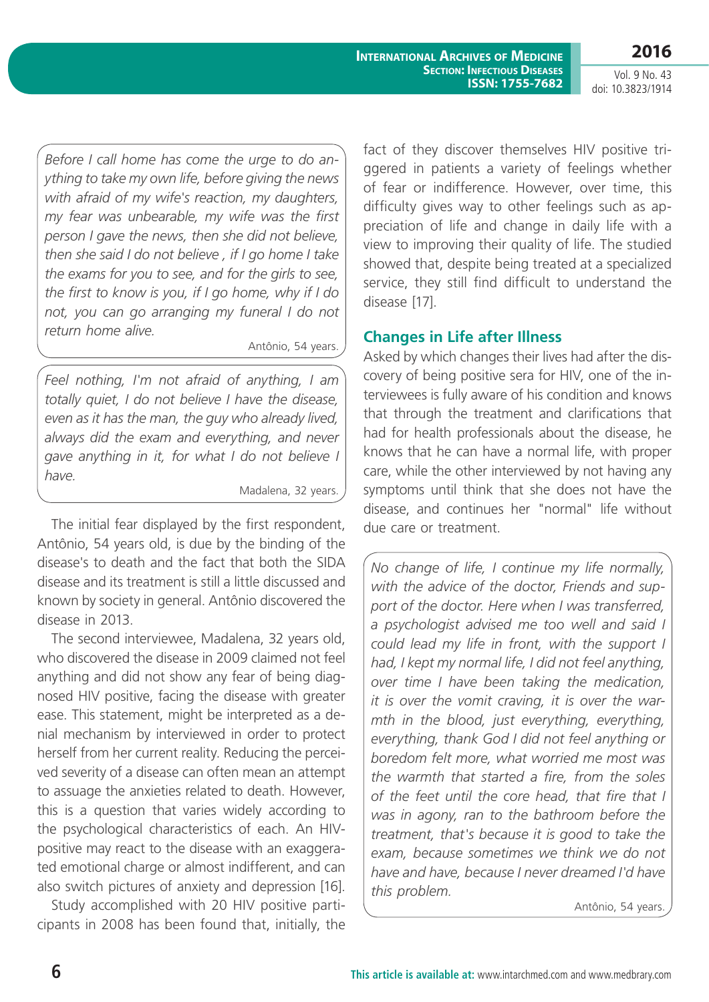**2016**

Vol. 9 No. 43 doi: 10.3823/1914

*Before I call home has come the urge to do anything to take my own life, before giving the news with afraid of my wife's reaction, my daughters, my fear was unbearable, my wife was the first person I gave the news, then she did not believe, then she said I do not believe , if I go home I take the exams for you to see, and for the girls to see, the first to know is you, if I go home, why if I do not, you can go arranging my funeral I do not return home alive.*

Antônio, 54 years.

*Feel nothing, I'm not afraid of anything, I am totally quiet, I do not believe I have the disease, even as it has the man, the guy who already lived, always did the exam and everything, and never gave anything in it, for what I do not believe I have.* 

Madalena, 32 years.

The initial fear displayed by the first respondent, Antônio, 54 years old, is due by the binding of the disease's to death and the fact that both the SIDA disease and its treatment is still a little discussed and known by society in general. Antônio discovered the disease in 2013.

The second interviewee, Madalena, 32 years old, who discovered the disease in 2009 claimed not feel anything and did not show any fear of being diagnosed HIV positive, facing the disease with greater ease. This statement, might be interpreted as a denial mechanism by interviewed in order to protect herself from her current reality. Reducing the perceived severity of a disease can often mean an attempt to assuage the anxieties related to death. However, this is a question that varies widely according to the psychological characteristics of each. An HIVpositive may react to the disease with an exaggerated emotional charge or almost indifferent, and can also switch pictures of anxiety and depression [16].

Study accomplished with 20 HIV positive participants in 2008 has been found that, initially, the fact of they discover themselves HIV positive triggered in patients a variety of feelings whether of fear or indifference. However, over time, this difficulty gives way to other feelings such as appreciation of life and change in daily life with a view to improving their quality of life. The studied showed that, despite being treated at a specialized service, they still find difficult to understand the disease [17].

### **Changes in Life after Illness**

Asked by which changes their lives had after the discovery of being positive sera for HIV, one of the interviewees is fully aware of his condition and knows that through the treatment and clarifications that had for health professionals about the disease, he knows that he can have a normal life, with proper care, while the other interviewed by not having any symptoms until think that she does not have the disease, and continues her "normal" life without due care or treatment.

*No change of life, I continue my life normally, with the advice of the doctor, Friends and support of the doctor. Here when I was transferred, a psychologist advised me too well and said I could lead my life in front, with the support I had, I kept my normal life, I did not feel anything, over time I have been taking the medication, it is over the vomit craving, it is over the warmth in the blood, just everything, everything, everything, thank God I did not feel anything or boredom felt more, what worried me most was the warmth that started a fire, from the soles of the feet until the core head, that fire that I was in agony, ran to the bathroom before the treatment, that's because it is good to take the exam, because sometimes we think we do not have and have, because I never dreamed I'd have this problem.*

Antônio, 54 years.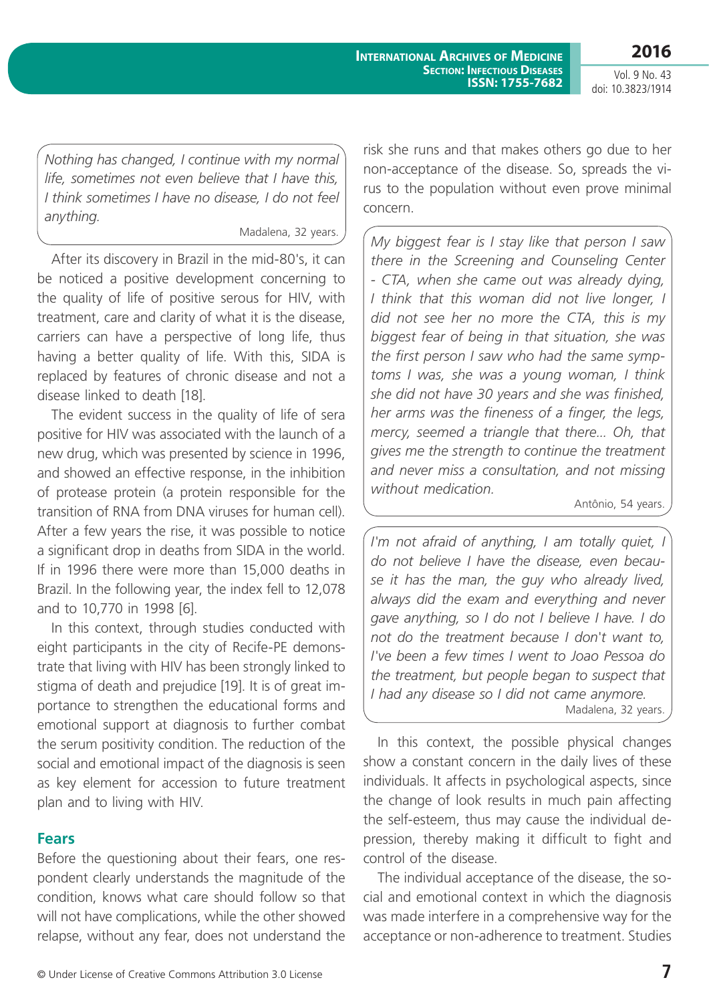**2016**

*Nothing has changed, I continue with my normal life, sometimes not even believe that I have this, I think sometimes I have no disease, I do not feel anything.*

Madalena, 32 years.

After its discovery in Brazil in the mid-80's, it can be noticed a positive development concerning to the quality of life of positive serous for HIV, with treatment, care and clarity of what it is the disease, carriers can have a perspective of long life, thus having a better quality of life. With this, SIDA is replaced by features of chronic disease and not a disease linked to death [18].

The evident success in the quality of life of sera positive for HIV was associated with the launch of a new drug, which was presented by science in 1996, and showed an effective response, in the inhibition of protease protein (a protein responsible for the transition of RNA from DNA viruses for human cell). After a few years the rise, it was possible to notice a significant drop in deaths from SIDA in the world. If in 1996 there were more than 15,000 deaths in Brazil. In the following year, the index fell to 12,078 and to 10,770 in 1998 [6].

In this context, through studies conducted with eight participants in the city of Recife-PE demonstrate that living with HIV has been strongly linked to stigma of death and prejudice [19]. It is of great importance to strengthen the educational forms and emotional support at diagnosis to further combat the serum positivity condition. The reduction of the social and emotional impact of the diagnosis is seen as key element for accession to future treatment plan and to living with HIV.

#### **Fears**

Before the questioning about their fears, one respondent clearly understands the magnitude of the condition, knows what care should follow so that will not have complications, while the other showed relapse, without any fear, does not understand the risk she runs and that makes others go due to her non-acceptance of the disease. So, spreads the virus to the population without even prove minimal concern.

*My biggest fear is I stay like that person I saw there in the Screening and Counseling Center - CTA, when she came out was already dying, I think that this woman did not live longer, I did not see her no more the CTA, this is my biggest fear of being in that situation, she was the first person I saw who had the same symptoms I was, she was a young woman, I think she did not have 30 years and she was finished, her arms was the fineness of a finger, the legs, mercy, seemed a triangle that there... Oh, that gives me the strength to continue the treatment and never miss a consultation, and not missing without medication.*

Antônio, 54 years.

*I'm not afraid of anything, I am totally quiet, I do not believe I have the disease, even because it has the man, the guy who already lived, always did the exam and everything and never gave anything, so I do not I believe I have. I do not do the treatment because I don't want to, I've been a few times I went to Joao Pessoa do the treatment, but people began to suspect that I had any disease so I did not came anymore.* Madalena, 32 years.

In this context, the possible physical changes show a constant concern in the daily lives of these individuals. It affects in psychological aspects, since the change of look results in much pain affecting the self-esteem, thus may cause the individual depression, thereby making it difficult to fight and control of the disease.

The individual acceptance of the disease, the social and emotional context in which the diagnosis was made interfere in a comprehensive way for the acceptance or non-adherence to treatment. Studies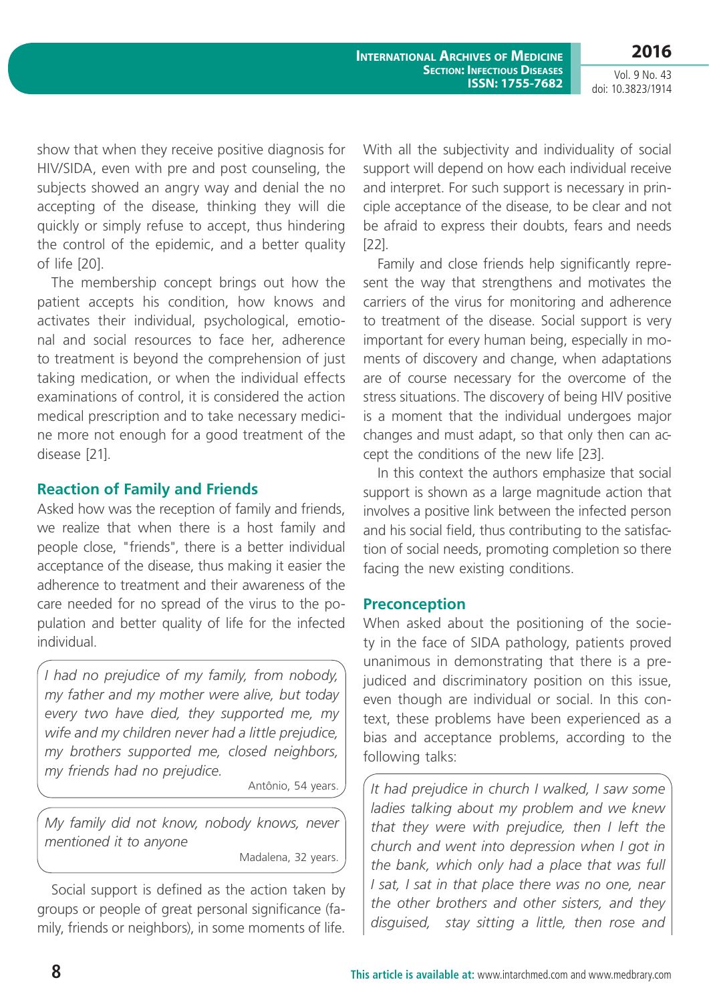**2016**

Vol. 9 No. 43 doi: 10.3823/1914

show that when they receive positive diagnosis for HIV/SIDA, even with pre and post counseling, the subjects showed an angry way and denial the no accepting of the disease, thinking they will die quickly or simply refuse to accept, thus hindering the control of the epidemic, and a better quality of life [20].

The membership concept brings out how the patient accepts his condition, how knows and activates their individual, psychological, emotional and social resources to face her, adherence to treatment is beyond the comprehension of just taking medication, or when the individual effects examinations of control, it is considered the action medical prescription and to take necessary medicine more not enough for a good treatment of the disease [21].

#### **Reaction of Family and Friends**

Asked how was the reception of family and friends, we realize that when there is a host family and people close, "friends", there is a better individual acceptance of the disease, thus making it easier the adherence to treatment and their awareness of the care needed for no spread of the virus to the population and better quality of life for the infected individual.

*I had no prejudice of my family, from nobody, my father and my mother were alive, but today every two have died, they supported me, my wife and my children never had a little prejudice, my brothers supported me, closed neighbors, my friends had no prejudice.*

Antônio, 54 years.

*My family did not know, nobody knows, never mentioned it to anyone* 

Madalena, 32 years.

Social support is defined as the action taken by groups or people of great personal significance (family, friends or neighbors), in some moments of life. With all the subjectivity and individuality of social support will depend on how each individual receive and interpret. For such support is necessary in principle acceptance of the disease, to be clear and not be afraid to express their doubts, fears and needs [22].

Family and close friends help significantly represent the way that strengthens and motivates the carriers of the virus for monitoring and adherence to treatment of the disease. Social support is very important for every human being, especially in moments of discovery and change, when adaptations are of course necessary for the overcome of the stress situations. The discovery of being HIV positive is a moment that the individual undergoes major changes and must adapt, so that only then can accept the conditions of the new life [23].

In this context the authors emphasize that social support is shown as a large magnitude action that involves a positive link between the infected person and his social field, thus contributing to the satisfaction of social needs, promoting completion so there facing the new existing conditions.

#### **Preconception**

When asked about the positioning of the society in the face of SIDA pathology, patients proved unanimous in demonstrating that there is a prejudiced and discriminatory position on this issue, even though are individual or social. In this context, these problems have been experienced as a bias and acceptance problems, according to the following talks:

*It had prejudice in church I walked, I saw some ladies talking about my problem and we knew that they were with prejudice, then I left the church and went into depression when I got in the bank, which only had a place that was full I sat, I sat in that place there was no one, near the other brothers and other sisters, and they disguised, stay sitting a little, then rose and*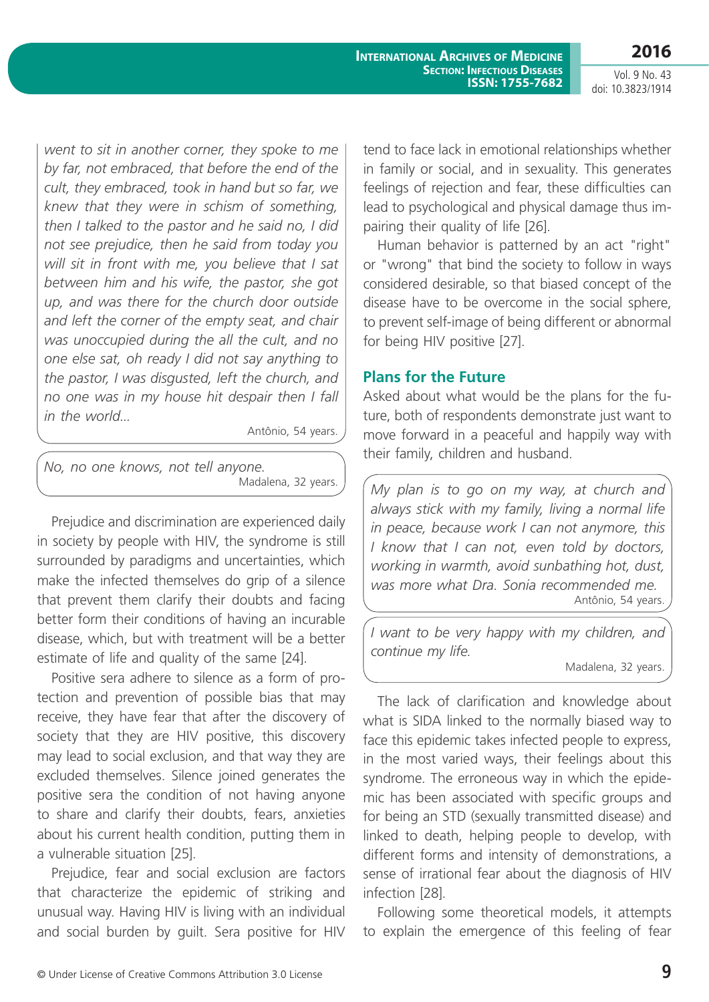**2016** Vol. 9 No. 43

doi: 10.3823/1914

*went to sit in another corner, they spoke to me by far, not embraced, that before the end of the cult, they embraced, took in hand but so far, we knew that they were in schism of something, then I talked to the pastor and he said no, I did not see prejudice, then he said from today you will sit in front with me, you believe that I sat between him and his wife, the pastor, she got up, and was there for the church door outside and left the corner of the empty seat, and chair was unoccupied during the all the cult, and no one else sat, oh ready I did not say anything to the pastor, I was disgusted, left the church, and no one was in my house hit despair then I fall in the world...*

Antônio, 54 years.

*No, no one knows, not tell anyone.* Madalena, 32 years.

Prejudice and discrimination are experienced daily in society by people with HIV, the syndrome is still surrounded by paradigms and uncertainties, which make the infected themselves do grip of a silence that prevent them clarify their doubts and facing better form their conditions of having an incurable disease, which, but with treatment will be a better estimate of life and quality of the same [24].

Positive sera adhere to silence as a form of protection and prevention of possible bias that may receive, they have fear that after the discovery of society that they are HIV positive, this discovery may lead to social exclusion, and that way they are excluded themselves. Silence joined generates the positive sera the condition of not having anyone to share and clarify their doubts, fears, anxieties about his current health condition, putting them in a vulnerable situation [25].

Prejudice, fear and social exclusion are factors that characterize the epidemic of striking and unusual way. Having HIV is living with an individual and social burden by guilt. Sera positive for HIV tend to face lack in emotional relationships whether in family or social, and in sexuality. This generates feelings of rejection and fear, these difficulties can lead to psychological and physical damage thus impairing their quality of life [26].

Human behavior is patterned by an act "right" or "wrong" that bind the society to follow in ways considered desirable, so that biased concept of the disease have to be overcome in the social sphere, to prevent self-image of being different or abnormal for being HIV positive [27].

#### **Plans for the Future**

Asked about what would be the plans for the future, both of respondents demonstrate just want to move forward in a peaceful and happily way with their family, children and husband.

*My plan is to go on my way, at church and always stick with my family, living a normal life in peace, because work I can not anymore, this I know that I can not, even told by doctors, working in warmth, avoid sunbathing hot, dust, was more what Dra. Sonia recommended me.* Antônio, 54 years.

*I want to be very happy with my children, and continue my life.*

Madalena, 32 years.

The lack of clarification and knowledge about what is SIDA linked to the normally biased way to face this epidemic takes infected people to express, in the most varied ways, their feelings about this syndrome. The erroneous way in which the epidemic has been associated with specific groups and for being an STD (sexually transmitted disease) and linked to death, helping people to develop, with different forms and intensity of demonstrations, a sense of irrational fear about the diagnosis of HIV infection [28].

Following some theoretical models, it attempts to explain the emergence of this feeling of fear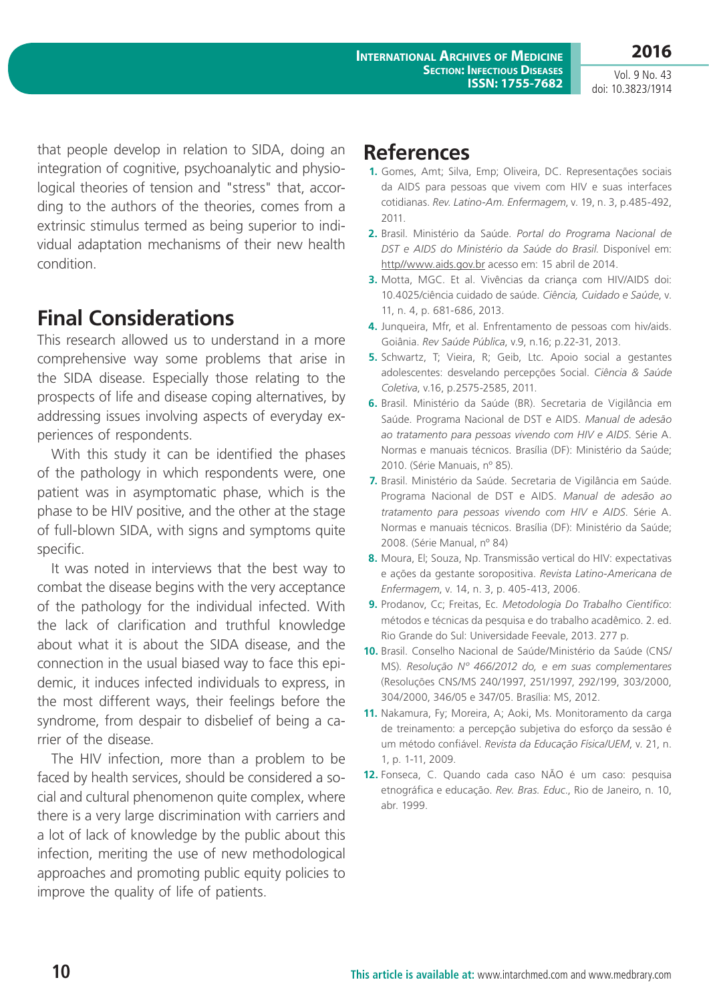**2016**

that people develop in relation to SIDA, doing an integration of cognitive, psychoanalytic and physiological theories of tension and "stress" that, according to the authors of the theories, comes from a extrinsic stimulus termed as being superior to individual adaptation mechanisms of their new health condition.

### **Final Considerations**

This research allowed us to understand in a more comprehensive way some problems that arise in the SIDA disease. Especially those relating to the prospects of life and disease coping alternatives, by addressing issues involving aspects of everyday experiences of respondents.

With this study it can be identified the phases of the pathology in which respondents were, one patient was in asymptomatic phase, which is the phase to be HIV positive, and the other at the stage of full-blown SIDA, with signs and symptoms quite specific.

It was noted in interviews that the best way to combat the disease begins with the very acceptance of the pathology for the individual infected. With the lack of clarification and truthful knowledge about what it is about the SIDA disease, and the connection in the usual biased way to face this epidemic, it induces infected individuals to express, in the most different ways, their feelings before the syndrome, from despair to disbelief of being a carrier of the disease.

The HIV infection, more than a problem to be faced by health services, should be considered a social and cultural phenomenon quite complex, where there is a very large discrimination with carriers and a lot of lack of knowledge by the public about this infection, meriting the use of new methodological approaches and promoting public equity policies to improve the quality of life of patients.

### **References**

- **1.** Gomes, Amt; Silva, Emp; Oliveira, DC. Representações sociais da AIDS para pessoas que vivem com HIV e suas interfaces cotidianas. *Rev. Latino-Am. Enfermagem*, v. 19, n. 3, p.485-492, 2011.
- **2.** Brasil. Ministério da Saúde. *Portal do Programa Nacional de DST e AIDS do Ministério da Saúde do Brasil*. Disponível em: <http//www.aids.gov.br> acesso em: 15 abril de 2014.
- **3.** Motta, MGC. Et al. Vivências da criança com HIV/AIDS doi: 10.4025/ciência cuidado de saúde. *Ciência, Cuidado e Saúde*, v. 11, n. 4, p. 681-686, 2013.
- **4.** Junqueira, Mfr, et al. Enfrentamento de pessoas com hiv/aids. Goiânia. *Rev Saúde Pública*, v.9, n.16; p.22-31, 2013.
- **5.** Schwartz, T; Vieira, R; Geib, Ltc. Apoio social a gestantes adolescentes: desvelando percepções Social. *Ciência & Saúde Coletiva*, v.16, p.2575-2585, 2011.
- **6.** Brasil. Ministério da Saúde (BR). Secretaria de Vigilância em Saúde. Programa Nacional de DST e AIDS. *Manual de adesão ao tratamento para pessoas vivendo com HIV e AIDS*. Série A. Normas e manuais técnicos. Brasília (DF): Ministério da Saúde; 2010. (Série Manuais, nº 85).
- **7.** Brasil. Ministério da Saúde. Secretaria de Vigilância em Saúde. Programa Nacional de DST e AIDS. *Manual de adesão ao tratamento para pessoas vivendo com HIV e AIDS*. Série A. Normas e manuais técnicos. Brasília (DF): Ministério da Saúde; 2008. (Série Manual, nº 84)
- **8.** Moura, El; Souza, Np. Transmissão vertical do HIV: expectativas e ações da gestante soropositiva. *Revista Latino-Americana de Enfermagem*, v. 14, n. 3, p. 405-413, 2006.
- **9.** Prodanov, Cc; Freitas, Ec. *Metodologia Do Trabalho Científico*: métodos e técnicas da pesquisa e do trabalho acadêmico. 2. ed. Rio Grande do Sul: Universidade Feevale, 2013. 277 p.
- **10.** Brasil. Conselho Nacional de Saúde/Ministério da Saúde (CNS/ MS). *Resolução Nº 466/2012 do, e em suas complementares* (Resoluções CNS/MS 240/1997, 251/1997, 292/199, 303/2000, 304/2000, 346/05 e 347/05. Brasília: MS, 2012.
- **11.** Nakamura, Fy; Moreira, A; Aoki, Ms. Monitoramento da carga de treinamento: a percepção subjetiva do esforço da sessão é um método confiável. *Revista da Educação Física/UEM*, v. 21, n. 1, p. 1-11, 2009.
- **12.** Fonseca, C. Quando cada caso NÃO é um caso: pesquisa etnográfica e educação. *Rev. Bras. Educ*., Rio de Janeiro, n. 10, abr. 1999.